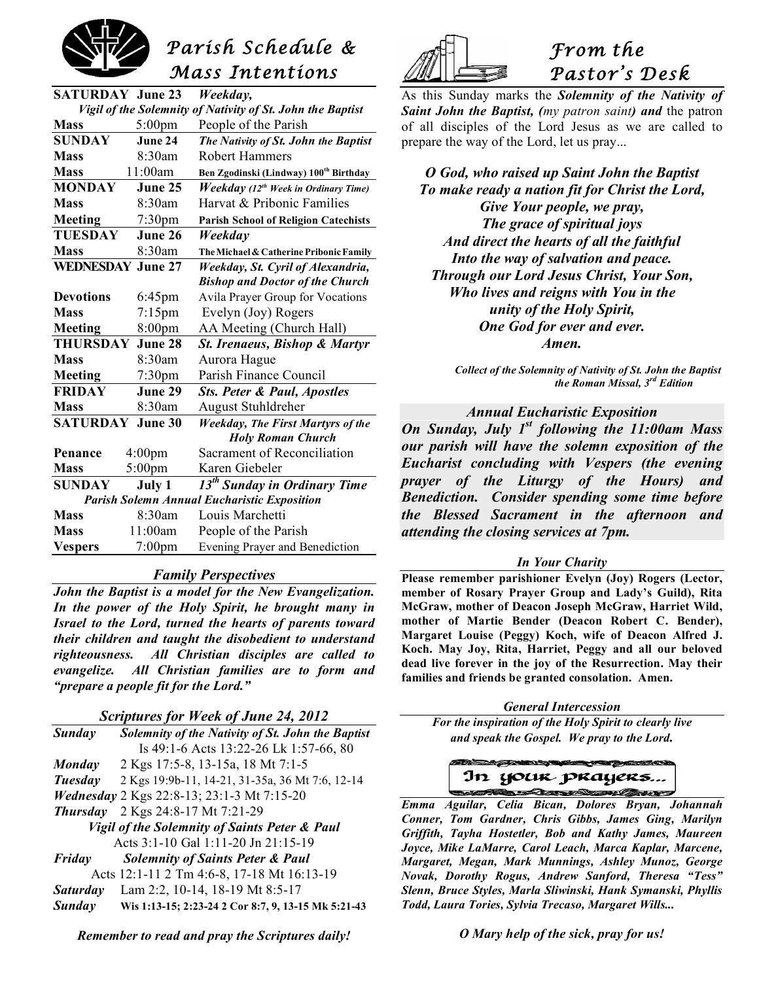

| <b>SATURDAY June 23</b>                                                |                    | Weekday,                                                |  |
|------------------------------------------------------------------------|--------------------|---------------------------------------------------------|--|
| Vigil of the Solemnity of Nativity of St. John the Baptist             |                    |                                                         |  |
| <b>Mass</b>                                                            | $5:00$ pm          | People of the Parish                                    |  |
| <b>SUNDAY</b>                                                          | June 24            | The Nativity of St. John the Baptist                    |  |
| <b>Mass</b>                                                            | 8:30am             | <b>Robert Hammers</b>                                   |  |
| <b>Mass</b>                                                            | 11:00am            | Ben Zgodinski (Lindway) 100th Birthday                  |  |
| <b>MONDAY</b>                                                          | June 25            | <b>Weekday</b> (12 <sup>th</sup> Week in Ordinary Time) |  |
| Mass                                                                   | 8:30am             | Harvat & Pribonic Families                              |  |
| Meeting                                                                | 7:30pm             | <b>Parish School of Religion Catechists</b>             |  |
| <b>TUESDAY</b>                                                         | June 26            | Weekday                                                 |  |
| <b>Mass</b>                                                            | 8:30am             | The Michael & Catherine Pribonic Family                 |  |
| <b>WEDNESDAY June 27</b>                                               |                    | Weekday, St. Cyril of Alexandria,                       |  |
|                                                                        |                    | <b>Bishop and Doctor of the Church</b>                  |  |
| <b>Devotions</b>                                                       | $6:45$ pm          | Avila Prayer Group for Vocations                        |  |
| <b>Mass</b>                                                            | $7:15$ pm          | Evelyn (Joy) Rogers                                     |  |
| Meeting                                                                | 8:00pm             | AA Meeting (Church Hall)                                |  |
| <b>THURSDAY</b><br>June 28                                             |                    | St. Irenaeus, Bishop & Martyr                           |  |
| Mass                                                                   | 8:30am             | Aurora Hague                                            |  |
| Meeting                                                                | $7:30$ pm          | Parish Finance Council                                  |  |
| <b>FRIDAY</b>                                                          | June 29            | <b>Sts. Peter &amp; Paul, Apostles</b>                  |  |
| <b>Mass</b>                                                            | 8:30am             | <b>August Stuhldreher</b>                               |  |
| <b>SATURDAY</b><br>June 30<br><b>Weekday, The First Martyrs of the</b> |                    |                                                         |  |
|                                                                        |                    | <b>Holy Roman Church</b>                                |  |
| Penance                                                                | 4:00 <sub>pm</sub> | Sacrament of Reconciliation                             |  |
| <b>Mass</b>                                                            | $5:00$ pm          | Karen Giebeler                                          |  |
| <b>SUNDAY</b>                                                          | July 1             | 13 <sup>th</sup> Sunday in Ordinary Time                |  |
| <b>Parish Solemn Annual Eucharistic Exposition</b>                     |                    |                                                         |  |
| <b>Mass</b>                                                            | 8:30am             | Louis Marchetti                                         |  |
| <b>Mass</b>                                                            | 11:00am            | People of the Parish                                    |  |
| <b>Vespers</b>                                                         | $7:00$ pm          | Evening Prayer and Benediction                          |  |

#### *Family Perspectives*

*John the Baptist is a model for the New Evangelization. In the power of the Holy Spirit, he brought many in Israel to the Lord, turned the hearts of parents toward their children and taught the disobedient to understand righteousness. All Christian disciples are called to evangelize. All Christian families are to form and "prepare a people fit for the Lord."*

*Scriptures for Week of June 24, 2012*

| Scriptures for Week of June 24, 2012                     |                                                     |  |
|----------------------------------------------------------|-----------------------------------------------------|--|
| Sunday                                                   | Solemnity of the Nativity of St. John the Baptist   |  |
|                                                          | Is 49:1-6 Acts 13:22-26 Lk 1:57-66, 80              |  |
| <b>Monday</b>                                            | 2 Kgs 17:5-8, 13-15a, 18 Mt 7:1-5                   |  |
| Tuesday                                                  | 2 Kgs 19:9b-11, 14-21, 31-35a, 36 Mt 7:6, 12-14     |  |
|                                                          | <i>Wednesday</i> 2 Kgs 22:8-13; 23:1-3 Mt 7:15-20   |  |
| <b>Thursday</b>                                          | 2 Kgs 24:8-17 Mt 7:21-29                            |  |
| <b>Vigil of the Solemnity of Saints Peter &amp; Paul</b> |                                                     |  |
|                                                          | Acts 3:1-10 Gal 1:11-20 Jn 21:15-19                 |  |
| Friday                                                   | <b>Solemnity of Saints Peter &amp; Paul</b>         |  |
|                                                          | Acts 12:1-11 2 Tm 4:6-8, 17-18 Mt 16:13-19          |  |
| <b>Saturday</b>                                          | Lam 2:2, 10-14, 18-19 Mt 8:5-17                     |  |
| Sunday                                                   | Wis 1:13-15; 2:23-24 2 Cor 8:7, 9, 13-15 Mk 5:21-43 |  |



# *From the Pastor's Desk*

As this Sunday marks the *Solemnity of the Nativity of Saint John the Baptist, (my patron saint) and* the patron of all disciples of the Lord Jesus as we are called to prepare the way of the Lord, let us pray...

*O God, who raised up Saint John the Baptist To make ready a nation fit for Christ the Lord, Give Your people, we pray, The grace of spiritual joys And direct the hearts of all the faithful Into the way of salvation and peace. Through our Lord Jesus Christ, Your Son, Who lives and reigns with You in the unity of the Holy Spirit, One God for ever and ever. Amen.*

> *Collect of the Solemnity of Nativity of St. John the Baptist the Roman Missal, 3rd Edition*

# *Annual Eucharistic Exposition*

*On Sunday, July 1st following the 11:00am Mass our parish will have the solemn exposition of the Eucharist concluding with Vespers (the evening prayer of the Liturgy of the Hours) and Benediction. Consider spending some time before the Blessed Sacrament in the afternoon and attending the closing services at 7pm.*

#### *In Your Charity*

**Please remember parishioner Evelyn (Joy) Rogers (Lector, member of Rosary Prayer Group and Lady's Guild), Rita McGraw, mother of Deacon Joseph McGraw, Harriet Wild, mother of Martie Bender (Deacon Robert C. Bender), Margaret Louise (Peggy) Koch, wife of Deacon Alfred J. Koch. May Joy, Rita, Harriet, Peggy and all our beloved dead live forever in the joy of the Resurrection. May their families and friends be granted consolation. Amen.**

*General Intercession*

*For the inspiration of the Holy Spirit to clearly live and speak the Gospel. We pray to the Lord.*

In your prayers...

 *Emma Aguilar, Celia Bican, Dolores Bryan, Johannah Conner, Tom Gardner, Chris Gibbs, James Ging, Marilyn Griffith, Tayha Hostetler, Bob and Kathy James, Maureen Joyce, Mike LaMarre, Carol Leach, Marca Kaplar, Marcene, Margaret, Megan, Mark Munnings, Ashley Munoz, George Novak, Dorothy Rogus, Andrew Sanford, Theresa "Tess" Slenn, Bruce Styles, Marla Sliwinski, Hank Symanski, Phyllis Todd, Laura Tories, Sylvia Trecaso, Margaret Wills...*

*O Mary help of the sick, pray for us!*